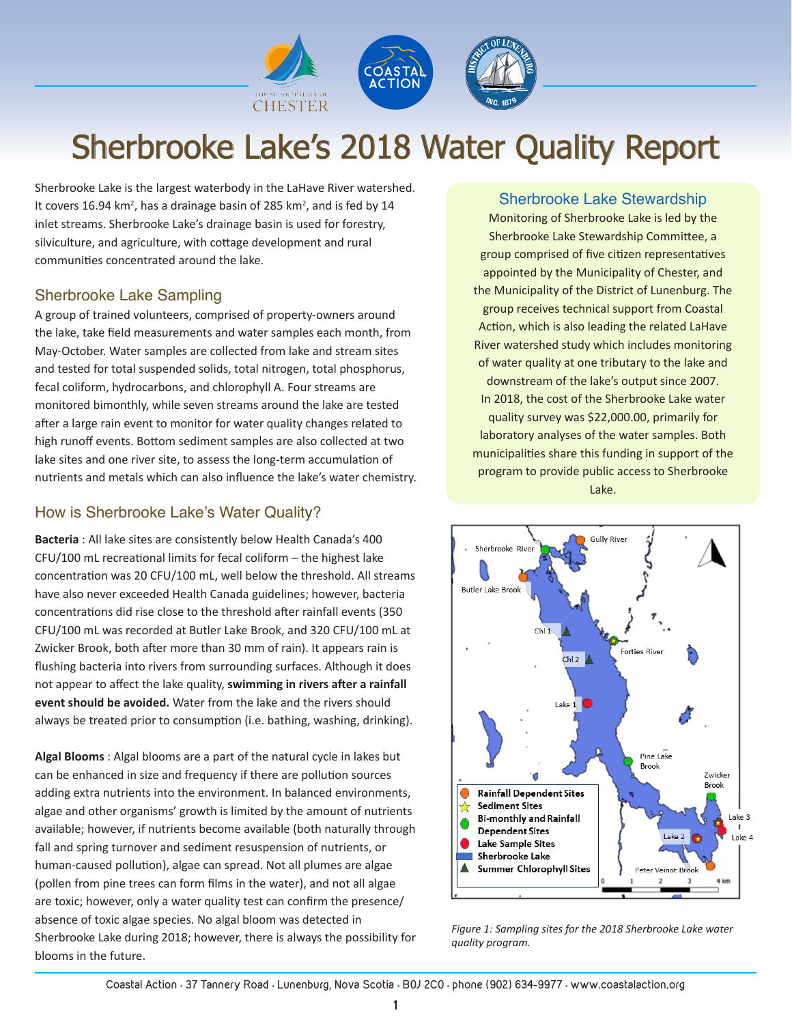

# Sherbrooke Lake's 2018 Water Quality Report

Sherbrooke Lake is the largest waterbody in the LaHave River watershed. It covers 16.94 km<sup>2</sup>, has a drainage basin of 285 km<sup>2</sup>, and is fed by 14 inlet streams. Sherbrooke Lake's drainage basin is used for forestry, silviculture, and agriculture, with cottage development and rural communities concentrated around the lake.

### Sherbrooke Lake Sampling

A group of trained volunteers, comprised of property-owners around the lake, take field measurements and water samples each month, from May-October. Water samples are collected from lake and stream sites and tested for total suspended solids, total nitrogen, total phosphorus, fecal coliform, hydrocarbons, and chlorophyll A. Four streams are monitored bimonthly, while seven streams around the lake are tested after a large rain event to monitor for water quality changes related to high runoff events. Bottom sediment samples are also collected at two lake sites and one river site, to assess the long-term accumulation of nutrients and metals which can also influence the lake's water chemistry.

## How is Sherbrooke Lake's Water Quality?

**Bacteria** : All lake sites are consistently below Health Canada's 400 CFU/100 mL recreational limits for fecal coliform – the highest lake concentration was 20 CFU/100 mL, well below the threshold. All streams have also never exceeded Health Canada guidelines; however, bacteria concentrations did rise close to the threshold after rainfall events (350 CFU/100 mL was recorded at Butler Lake Brook, and 320 CFU/100 mL at Zwicker Brook, both after more than 30 mm of rain). It appears rain is flushing bacteria into rivers from surrounding surfaces. Although it does not appear to affect the lake quality, **swimming in rivers after a rainfall event should be avoided.** Water from the lake and the rivers should always be treated prior to consumption (i.e. bathing, washing, drinking).

**Algal Blooms** : Algal blooms are a part of the natural cycle in lakes but can be enhanced in size and frequency if there are pollution sources adding extra nutrients into the environment. In balanced environments, algae and other organisms' growth is limited by the amount of nutrients available; however, if nutrients become available (both naturally through fall and spring turnover and sediment resuspension of nutrients, or human-caused pollution), algae can spread. Not all plumes are algae (pollen from pine trees can form films in the water), and not all algae are toxic; however, only a water quality test can confirm the presence/ absence of toxic algae species. No algal bloom was detected in Sherbrooke Lake during 2018; however, there is always the possibility for blooms in the future.

#### Sherbrooke Lake Stewardship

Monitoring of Sherbrooke Lake is led by the Sherbrooke Lake Stewardship Committee, a group comprised of five citizen representatives appointed by the Municipality of Chester, and the Municipality of the District of Lunenburg. The group receives technical support from Coastal Action, which is also leading the related LaHave River watershed study which includes monitoring of water quality at one tributary to the lake and downstream of the lake's output since 2007. In 2018, the cost of the Sherbrooke Lake water quality survey was \$22,000.00, primarily for laboratory analyses of the water samples. Both municipalities share this funding in support of the program to provide public access to Sherbrooke Lake.



*Figure 1: Sampling sites for the 2018 Sherbrooke Lake water quality program.*